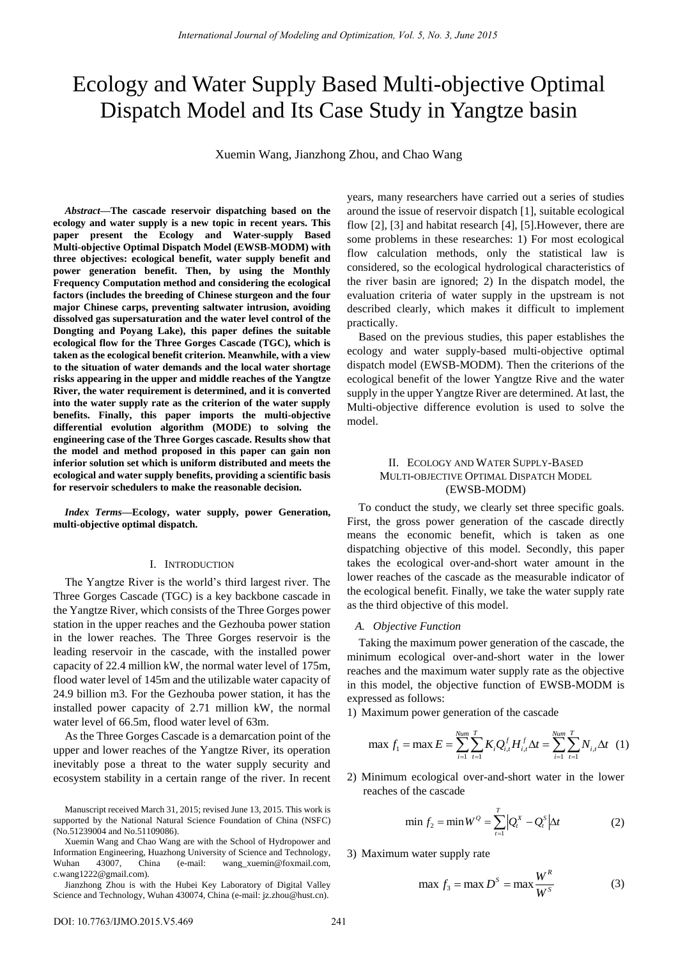# Ecology and Water Supply Based Multi-objective Optimal Dispatch Model and Its Case Study in Yangtze basin

Xuemin Wang, Jianzhong Zhou, and Chao Wang

*Abstract***—The cascade reservoir dispatching based on the ecology and water supply is a new topic in recent years. This paper present the Ecology and Water-supply Based Multi-objective Optimal Dispatch Model (EWSB-MODM) with three objectives: ecological benefit, water supply benefit and power generation benefit. Then, by using the Monthly Frequency Computation method and considering the ecological factors (includes the breeding of Chinese sturgeon and the four major Chinese carps, preventing saltwater intrusion, avoiding dissolved gas supersaturation and the water level control of the Dongting and Poyang Lake), this paper defines the suitable ecological flow for the Three Gorges Cascade (TGC), which is taken as the ecological benefit criterion. Meanwhile, with a view to the situation of water demands and the local water shortage risks appearing in the upper and middle reaches of the Yangtze River, the water requirement is determined, and it is converted into the water supply rate as the criterion of the water supply benefits. Finally, this paper imports the multi-objective differential evolution algorithm (MODE) to solving the engineering case of the Three Gorges cascade. Results show that the model and method proposed in this paper can gain non inferior solution set which is uniform distributed and meets the ecological and water supply benefits, providing a scientific basis for reservoir schedulers to make the reasonable decision.** 

*Index Terms***—Ecology, water supply, power Generation, multi-objective optimal dispatch.** 

#### I. INTRODUCTION

The Yangtze River is the world's third largest river. The Three Gorges Cascade (TGC) is a key backbone cascade in the Yangtze River, which consists of the Three Gorges power station in the upper reaches and the Gezhouba power station in the lower reaches. The Three Gorges reservoir is the leading reservoir in the cascade, with the installed power capacity of 22.4 million kW, the normal water level of 175m, flood water level of 145m and the utilizable water capacity of 24.9 billion m3. For the Gezhouba power station, it has the installed power capacity of 2.71 million kW, the normal water level of 66.5m, flood water level of 63m.

As the Three Gorges Cascade is a demarcation point of the upper and lower reaches of the Yangtze River, its operation inevitably pose a threat to the water supply security and ecosystem stability in a certain range of the river. In recent

Manuscript received March 31, 2015; revised June 13, 2015. This work is supported by the National Natural Science Foundation of China (NSFC) (No.51239004 and No.51109086).

Xuemin Wang and Chao Wang are with the School of Hydropower and Information Engineering, Huazhong University of Science and Technology, Wuhan 43007, China (e-mail: wang\_xuemin@foxmail.com, c.wang1222@gmail.com).

Jianzhong Zhou is with the Hubei Key Laboratory of Digital Valley Science and Technology, Wuhan 430074, China (e-mail: jz.zhou@hust.cn).

years, many researchers have carried out a series of studies around the issue of reservoir dispatch [\[1\]](#page-4-0), suitable ecological flow [\[2\]](#page-4-1), [\[3\]](#page-4-2) and habitat research [\[4\]](#page-4-3), [\[5\]](#page-4-4).However, there are some problems in these researches: 1) For most ecological flow calculation methods, only the statistical law is considered, so the ecological hydrological characteristics of the river basin are ignored; 2) In the dispatch model, the evaluation criteria of water supply in the upstream is not described clearly, which makes it difficult to implement practically.

Based on the previous studies, this paper establishes the ecology and water supply-based multi-objective optimal dispatch model (EWSB-MODM). Then the criterions of the ecological benefit of the lower Yangtze Rive and the water supply in the upper Yangtze River are determined. At last, the Multi-objective difference evolution is used to solve the model.

## II. ECOLOGY AND WATER SUPPLY-BASED MULTI-OBJECTIVE OPTIMAL DISPATCH MODEL (EWSB-MODM)

To conduct the study, we clearly set three specific goals. First, the gross power generation of the cascade directly means the economic benefit, which is taken as one dispatching objective of this model. Secondly, this paper takes the ecological over-and-short water amount in the lower reaches of the cascade as the measurable indicator of the ecological benefit. Finally, we take the water supply rate as the third objective of this model.

#### *A. Objective Function*

Taking the maximum power generation of the cascade, the minimum ecological over-and-short water in the lower reaches and the maximum water supply rate as the objective in this model, the objective function of EWSB-MODM is expressed as follows:

1) Maximum power generation of the cascade

$$
\max f_1 = \max E = \sum_{i=1}^{Num} \sum_{t=1}^{T} K_i Q_{i,t}^f H_{i,t}^f \Delta t = \sum_{i=1}^{Num} \sum_{t=1}^{T} N_{i,t} \Delta t \quad (1)
$$

2) Minimum ecological over-and-short water in the lower reaches of the cascade

$$
\min f_2 = \min W^{\mathcal{Q}} = \sum_{t=1}^{T} \Big| Q_t^X - Q_t^S \Big| \Delta t \tag{2}
$$

3) Maximum water supply rate

$$
\max f_3 = \max D^S = \max \frac{W^R}{W^S}
$$
 (3)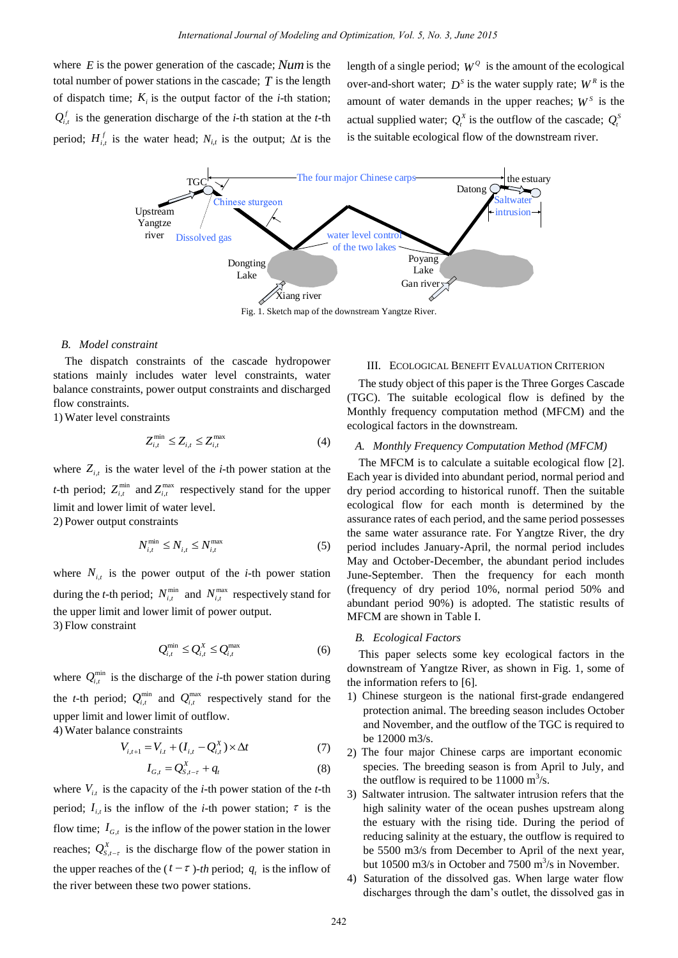where *E* is the power generation of the cascade; *Num*is the total number of power stations in the cascade; *T* is the length of dispatch time;  $K_i$  is the output factor of the *i*-th station;  $Q_{i,t}^f$  is the generation discharge of the *i*-th station at the *t*-th period;  $H_{i,t}^f$  is the water head;  $N_{i,t}$  is the output;  $\Delta t$  is the length of a single period;  $W^{\mathcal{Q}}$  is the amount of the ecological over-and-short water;  $D<sup>S</sup>$  is the water supply rate;  $W<sup>R</sup>$  is the amount of water demands in the upper reaches;  $W^S$  is the actual supplied water;  $Q_t^X$  is the outflow of the cascade;  $Q_t^S$ is the suitable ecological flow of the downstream river.



### *B. Model constraint*

The dispatch constraints of the cascade hydropower stations mainly includes water level constraints, water balance constraints, power output constraints and discharged flow constraints.

1) Water level constraints

$$
Z_{i,t}^{\min} \le Z_{i,t} \le Z_{i,t}^{\max} \tag{4}
$$

where  $Z_{i,t}$  is the water level of the *i*-th power station at the *t*-th period;  $Z_{i,t}^{\min}$  and  $Z_{i,t}^{\max}$  respectively stand for the upper limit and lower limit of water level.

2) Power output constraints

$$
N_{i,t}^{\min} \le N_{i,t} \le N_{i,t}^{\max} \tag{5}
$$

where  $N_{i,t}$  is the power output of the *i*-th power station during the *t*-th period;  $N_{i,t}^{\min}$  and  $N_{i,t}^{\max}$  respectively stand for the upper limit and lower limit of power output. 3) Flow constraint

$$
Q_{i,t}^{\min} \leq Q_{i,t}^X \leq Q_{i,t}^{\max} \tag{6}
$$

where  $Q_{i,t}^{\min}$  is the discharge of the *i*-th power station during the *t*-th period;  $Q_{i,t}^{\min}$  and  $Q_{i,t}^{\max}$  respectively stand for the upper limit and lower limit of outflow.

4) Water balance constraints

$$
V_{i,t+1} = V_{i,t} + (I_{i,t} - Q_{i,t}^{X}) \times \Delta t
$$
 (7)

$$
I_{G,t} = Q_{S,t-\tau}^X + q_t \tag{8}
$$

where  $V_{i,t}$  is the capacity of the *i*-th power station of the *t*-th period;  $I_{i,t}$  is the inflow of the *i*-th power station;  $\tau$  is the flow time;  $I_{G,t}$  is the inflow of the power station in the lower reaches;  $Q_{s,t-\tau}^{X}$  is the discharge flow of the power station in the upper reaches of the  $(t - \tau)$ -*th* period;  $q_t$  is the inflow of the river between these two power stations.

## III. ECOLOGICAL BENEFIT EVALUATION CRITERION

The study object of this paper is the Three Gorges Cascade (TGC). The suitable ecological flow is defined by the Monthly frequency computation method (MFCM) and the ecological factors in the downstream.

## *A. Monthly Frequency Computation Method (MFCM)*

The MFCM is to calculate a suitable ecological flow [\[2\]](#page-4-1). Each year is divided into abundant period, normal period and dry period according to historical runoff. Then the suitable ecological flow for each month is determined by the assurance rates of each period, and the same period possesses the same water assurance rate. For Yangtze River, the dry period includes January-April, the normal period includes May and October-December, the abundant period includes June-September. Then the frequency for each month (frequency of dry period 10%, normal period 50% and abundant period 90%) is adopted. The statistic results of MFCM are shown in Table I.

#### *B. Ecological Factors*

This paper selects some key ecological factors in the downstream of Yangtze River, as shown in Fig. 1, some of the information refers to [\[6\]](#page-4-5).

- 1) Chinese sturgeon is the national first-grade endangered protection animal. The breeding season includes October and November, and the outflow of the TGC is required to be 12000 m3/s.
- 2) The four major Chinese carps are important economic species. The breeding season is from April to July, and the outflow is required to be  $11000 \text{ m}^3/\text{s}$ .
- 3) Saltwater intrusion. The saltwater intrusion refers that the high salinity water of the ocean pushes upstream along the estuary with the rising tide. During the period of reducing salinity at the estuary, the outflow is required to be 5500 m3/s from December to April of the next year, but 10500 m3/s in October and 7500 m<sup>3</sup>/s in November.
- 4) Saturation of the dissolved gas. When large water flow discharges through the dam's outlet, the dissolved gas in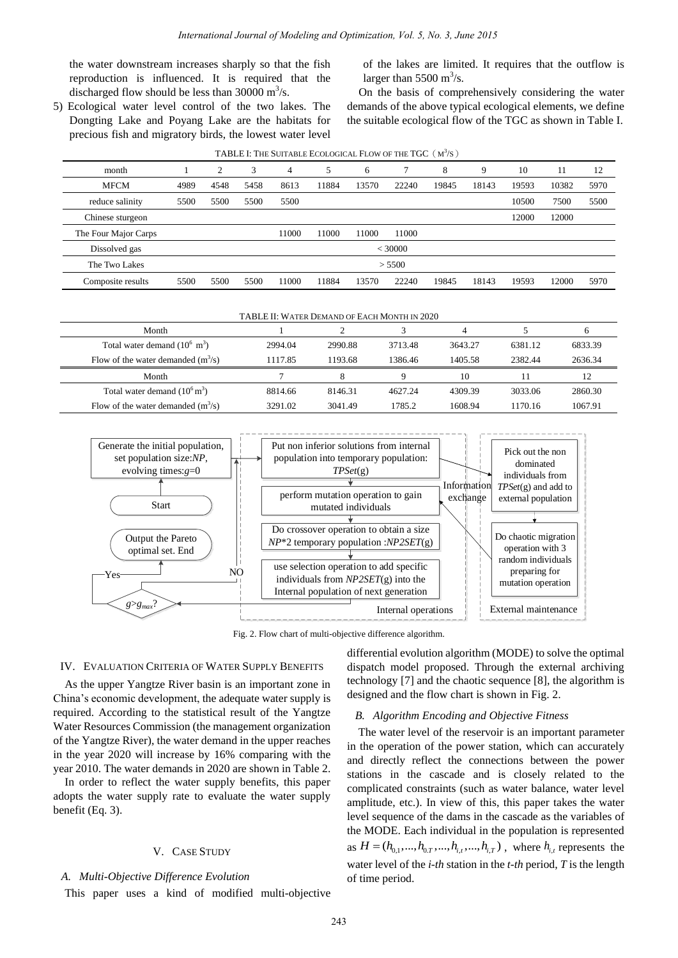the water downstream increases sharply so that the fish reproduction is influenced. It is required that the discharged flow should be less than  $30000 \text{ m}^3/\text{s}$ .

5) Ecological water level control of the two lakes. The Dongting Lake and Poyang Lake are the habitats for precious fish and migratory birds, the lowest water level of the lakes are limited. It requires that the outflow is larger than  $5500 \text{ m}^3\text{/s.}$ 

On the basis of comprehensively considering the water demands of the above typical ecological elements, we define the suitable ecological flow of the TGC as shown in Table I.

| TABLE I: THE SUITABLE ECOLOGICAL FLOW OF THE TGC (M <sup>3</sup> /S) |         |      |      |                |       |       |       |       |       |       |       |      |
|----------------------------------------------------------------------|---------|------|------|----------------|-------|-------|-------|-------|-------|-------|-------|------|
| month                                                                |         | 2    | 3    | $\overline{4}$ |       | 6     |       | 8     | 9     | 10    | 11    | 12   |
| <b>MFCM</b>                                                          | 4989    | 4548 | 5458 | 8613           | 11884 | 13570 | 22240 | 19845 | 18143 | 19593 | 10382 | 5970 |
| reduce salinity                                                      | 5500    | 5500 | 5500 | 5500           |       |       |       |       |       | 10500 | 7500  | 5500 |
| Chinese sturgeon                                                     |         |      |      |                |       |       |       |       |       | 12000 | 12000 |      |
| The Four Major Carps                                                 |         |      |      | 11000          | 11000 | 11000 | 11000 |       |       |       |       |      |
| Dissolved gas                                                        | < 30000 |      |      |                |       |       |       |       |       |       |       |      |
| The Two Lakes                                                        | > 5500  |      |      |                |       |       |       |       |       |       |       |      |
| Composite results                                                    | 5500    | 5500 | 5500 | 11000          | 11884 | 13570 | 22240 | 19845 | 18143 | 19593 | 12000 | 5970 |

| TABLE II: WATER DEMAND OF EACH MONTH IN 2020 |         |         |         |         |         |         |  |  |  |  |
|----------------------------------------------|---------|---------|---------|---------|---------|---------|--|--|--|--|
| Month                                        |         |         |         |         |         |         |  |  |  |  |
| Total water demand $(10^6 \text{ m}^3)$      | 2994.04 | 2990.88 | 3713.48 | 3643.27 | 6381.12 | 6833.39 |  |  |  |  |
| Flow of the water demanded $(m^3/s)$         | 1117.85 | 1193.68 | 1386.46 | 1405.58 | 2382.44 | 2636.34 |  |  |  |  |
| Month                                        |         | 8       |         | 10      |         | 12      |  |  |  |  |
| Total water demand $(10^6 \text{ m}^3)$      | 8814.66 | 8146.31 | 4627.24 | 4309.39 | 3033.06 | 2860.30 |  |  |  |  |
| Flow of the water demanded $(m^3/s)$         | 3291.02 | 3041.49 | 1785.2  | 1608.94 | 1170.16 | 1067.91 |  |  |  |  |



Fig. 2. Flow chart of multi-objective difference algorithm.

#### IV. EVALUATION CRITERIA OF WATER SUPPLY BENEFITS

As the upper Yangtze River basin is an important zone in China's economic development, the adequate water supply is required. According to the statistical result of the Yangtze Water Resources Commission (the management organization of the Yangtze River), the water demand in the upper reaches in the year 2020 will increase by 16% comparing with the year 2010. The water demands in 2020 are shown in Table 2.

In order to reflect the water supply benefits, this paper adopts the water supply rate to evaluate the water supply benefit (Eq. 3).

## V. CASE STUDY

## *A. Multi-Objective Difference Evolution*

This paper uses a kind of modified multi-objective

differential evolution algorithm (MODE) to solve the optimal dispatch model proposed. Through the external archiving technology [\[7\]](#page-4-6) and the chaotic sequence [\[8\]](#page-4-7), the algorithm is designed and the flow chart is shown in Fig. 2.

## *B. Algorithm Encoding and Objective Fitness*

The water level of the reservoir is an important parameter in the operation of the power station, which can accurately and directly reflect the connections between the power stations in the cascade and is closely related to the complicated constraints (such as water balance, water level amplitude, etc.). In view of this, this paper takes the water level sequence of the dams in the cascade as the variables of the MODE. Each individual in the population is represented as  $H = (h_{0,1}, ..., h_{0,T}, ..., h_{i,t}, ..., h_{i,T})$ , where  $h_{i,t}$  represents the water level of the *i-th* station in the *t-th* period, *T* is the length of time period.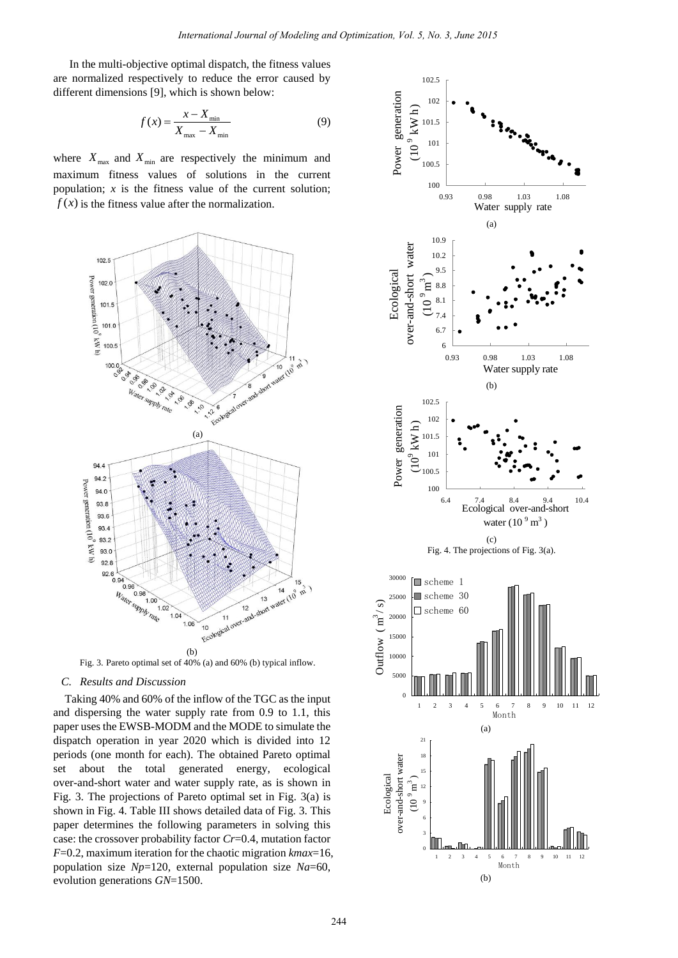In the multi-objective optimal dispatch, the fitness values are normalized respectively to reduce the error caused by different dimensions [\[9\]](#page-4-8), which is shown below:

$$
f(x) = \frac{x - X_{\min}}{X_{\max} - X_{\min}}
$$
 (9)

where  $X_{\text{max}}$  and  $X_{\text{min}}$  are respectively the minimum and maximum fitness values of solutions in the current population;  $x$  is the fitness value of the current solution;  $f(x)$  is the fitness value after the normalization.



Fig. 3. Pareto optimal set of 40% (a) and 60% (b) typical inflow.

#### *C. Results and Discussion*

Taking 40% and 60% of the inflow of the TGC as the input and dispersing the water supply rate from 0.9 to 1.1, this paper uses the EWSB-MODM and the MODE to simulate the dispatch operation in year 2020 which is divided into 12 periods (one month for each). The obtained Pareto optimal set about the total generated energy, ecological over-and-short water and water supply rate, as is shown in Fig. 3. The projections of Pareto optimal set in Fig. 3(a) is shown in Fig. 4. Table III shows detailed data of Fig. 3. This paper determines the following parameters in solving this case: the crossover probability factor *Cr*=0.4, mutation factor *F*=0.2, maximum iteration for the chaotic migration *kmax*=16, population size *Np*=120, external population size *Na*=60, evolution generations *GN*=1500.